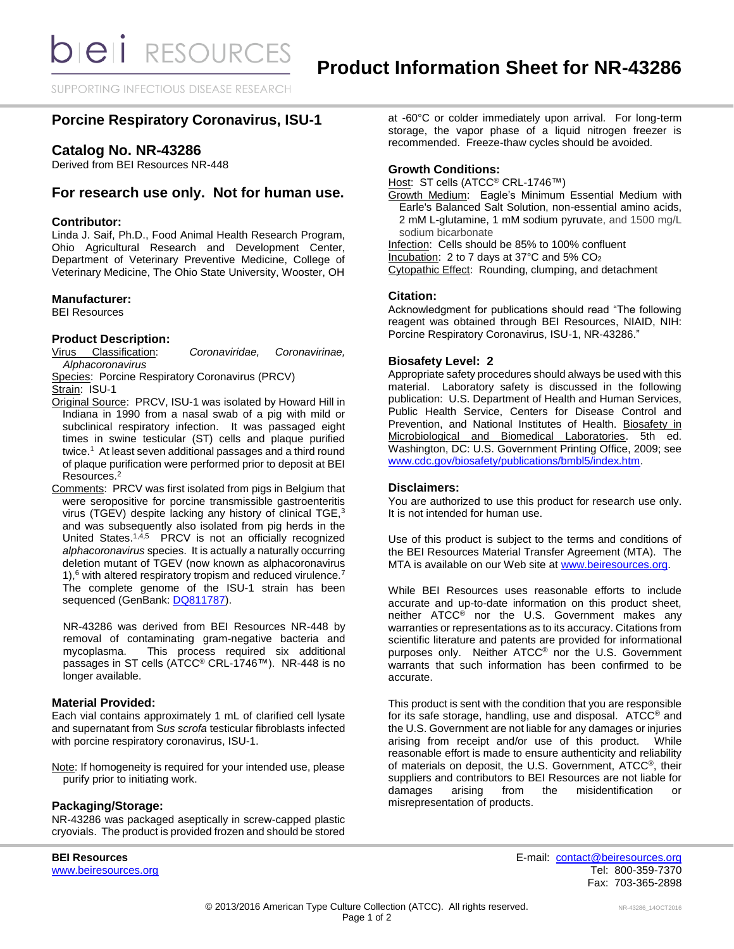SUPPORTING INFECTIOUS DISEASE RESEARCH

# **Porcine Respiratory Coronavirus, ISU-1**

# **Catalog No. NR-43286**

Derived from BEI Resources NR-448

# **For research use only. Not for human use.**

### **Contributor:**

Linda J. Saif, Ph.D., Food Animal Health Research Program, Ohio Agricultural Research and Development Center, Department of Veterinary Preventive Medicine, College of Veterinary Medicine, The Ohio State University, Wooster, OH

#### **Manufacturer:**

BEI Resources

### **Product Description:**

Virus Classification: *Coronaviridae, Coronavirinae, Alphacoronavirus*

Species: Porcine Respiratory Coronavirus (PRCV) Strain: ISU-1

- Original Source: PRCV, ISU-1 was isolated by Howard Hill in Indiana in 1990 from a nasal swab of a pig with mild or subclinical respiratory infection. It was passaged eight times in swine testicular (ST) cells and plaque purified twice.<sup>1</sup> At least seven additional passages and a third round of plaque purification were performed prior to deposit at BEI Resources.<sup>2</sup>
- Comments: PRCV was first isolated from pigs in Belgium that were seropositive for porcine transmissible gastroenteritis virus (TGEV) despite lacking any history of clinical TGE,<sup>3</sup> and was subsequently also isolated from pig herds in the United States.<sup>1,4,5</sup> PRCV is not an officially recognized *alphacoronavirus* species. It is actually a naturally occurring deletion mutant of TGEV (now known as alphacoronavirus 1),<sup>6</sup> with altered respiratory tropism and reduced virulence.<sup>7</sup> The complete genome of the ISU-1 strain has been sequenced (GenBank: [DQ811787\)](http://www.ncbi.nlm.nih.gov/nuccore/DQ811787.1).

NR-43286 was derived from BEI Resources NR-448 by removal of contaminating gram-negative bacteria and mycoplasma. This process required six additional passages in ST cells (ATCC® CRL-1746™). NR-448 is no longer available.

### **Material Provided:**

Each vial contains approximately 1 mL of clarified cell lysate and supernatant from S*us scrofa* testicular fibroblasts infected with porcine respiratory coronavirus, ISU-1.

Note: If homogeneity is required for your intended use, please purify prior to initiating work.

### **Packaging/Storage:**

NR-43286 was packaged aseptically in screw-capped plastic cryovials. The product is provided frozen and should be stored at -60°C or colder immediately upon arrival. For long-term storage, the vapor phase of a liquid nitrogen freezer is recommended. Freeze-thaw cycles should be avoided.

#### **Growth Conditions:**

Host: ST cells (ATCC<sup>®</sup> CRL-1746™)

Growth Medium: Eagle's Minimum Essential Medium with Earle's Balanced Salt Solution, non-essential amino acids, 2 mM L-glutamine, 1 mM sodium pyruvate, and 1500 mg/L sodium bicarbonate

Infection: Cells should be 85% to 100% confluent

Incubation: 2 to 7 days at 37°C and 5% CO<sup>2</sup>

Cytopathic Effect: Rounding, clumping, and detachment

### **Citation:**

Acknowledgment for publications should read "The following reagent was obtained through BEI Resources, NIAID, NIH: Porcine Respiratory Coronavirus, ISU-1, NR-43286."

### **Biosafety Level: 2**

Appropriate safety procedures should always be used with this material. Laboratory safety is discussed in the following publication: U.S. Department of Health and Human Services, Public Health Service, Centers for Disease Control and Prevention, and National Institutes of Health. Biosafety in Microbiological and Biomedical Laboratories. 5th ed. Washington, DC: U.S. Government Printing Office, 2009; see [www.cdc.gov/biosafety/publications/bmbl5/index.htm.](http://www.cdc.gov/biosafety/publications/bmbl5/index.htm)

## **Disclaimers:**

You are authorized to use this product for research use only. It is not intended for human use.

Use of this product is subject to the terms and conditions of the BEI Resources Material Transfer Agreement (MTA). The MTA is available on our Web site at [www.beiresources.org.](http://www.beiresources.org/)

While BEI Resources uses reasonable efforts to include accurate and up-to-date information on this product sheet, neither ATCC® nor the U.S. Government makes any warranties or representations as to its accuracy. Citations from scientific literature and patents are provided for informational purposes only. Neither ATCC® nor the U.S. Government warrants that such information has been confirmed to be accurate.

This product is sent with the condition that you are responsible for its safe storage, handling, use and disposal. ATCC® and the U.S. Government are not liable for any damages or injuries arising from receipt and/or use of this product. While reasonable effort is made to ensure authenticity and reliability of materials on deposit, the U.S. Government, ATCC®, their suppliers and contributors to BEI Resources are not liable for damages arising from the misidentification or misrepresentation of products.

**BEI Resources** E-mail: [contact@beiresources.org](mailto:contact@beiresources.org) [www.beiresources.org](http://www.beiresources.org/) **Tel: 800-359-7370** Fax: 703-365-2898